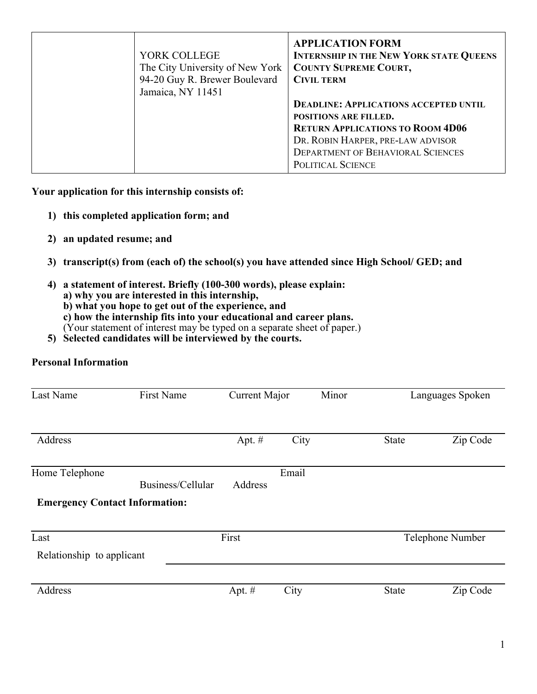| YORK COLLEGE<br>The City University of New York<br>94-20 Guy R. Brewer Boulevard<br>Jamaica, NY 11451 | <b>APPLICATION FORM</b><br><b>INTERNSHIP IN THE NEW YORK STATE QUEENS</b><br><b>COUNTY SUPREME COURT,</b><br><b>CIVIL TERM</b><br><b>DEADLINE: APPLICATIONS ACCEPTED UNTIL</b><br><b>POSITIONS ARE FILLED.</b><br><b>RETURN APPLICATIONS TO ROOM 4D06</b><br>DR. ROBIN HARPER, PRE-LAW ADVISOR<br><b>DEPARTMENT OF BEHAVIORAL SCIENCES</b><br>POLITICAL SCIENCE |
|-------------------------------------------------------------------------------------------------------|-----------------------------------------------------------------------------------------------------------------------------------------------------------------------------------------------------------------------------------------------------------------------------------------------------------------------------------------------------------------|
|-------------------------------------------------------------------------------------------------------|-----------------------------------------------------------------------------------------------------------------------------------------------------------------------------------------------------------------------------------------------------------------------------------------------------------------------------------------------------------------|

**Your application for this internship consists of:**

- **1) this completed application form; and**
- **2) an updated resume; and**
- **3) transcript(s) from (each of) the school(s) you have attended since High School/ GED; and**
- **4) a statement of interest. Briefly (100-300 words), please explain: a) why you are interested in this internship, b) what you hope to get out of the experience, and c) how the internship fits into your educational and career plans.** 
	- (Your statement of interest may be typed on a separate sheet of paper.)
- **5) Selected candidates will be interviewed by the courts.**

## **Personal Information**

| Last Name                             | <b>First Name</b> | Current Major |       | Minor            |              | Languages Spoken |
|---------------------------------------|-------------------|---------------|-------|------------------|--------------|------------------|
| Address                               |                   | Apt. $#$      | City  |                  | <b>State</b> | Zip Code         |
| Home Telephone                        | Business/Cellular | Address       | Email |                  |              |                  |
| <b>Emergency Contact Information:</b> |                   |               |       |                  |              |                  |
| Last                                  |                   | First         |       | Telephone Number |              |                  |
| Relationship to applicant             |                   |               |       |                  |              |                  |
|                                       |                   |               |       |                  |              |                  |
| Address                               |                   | Apt. $#$      | City  |                  | <b>State</b> | Zip Code         |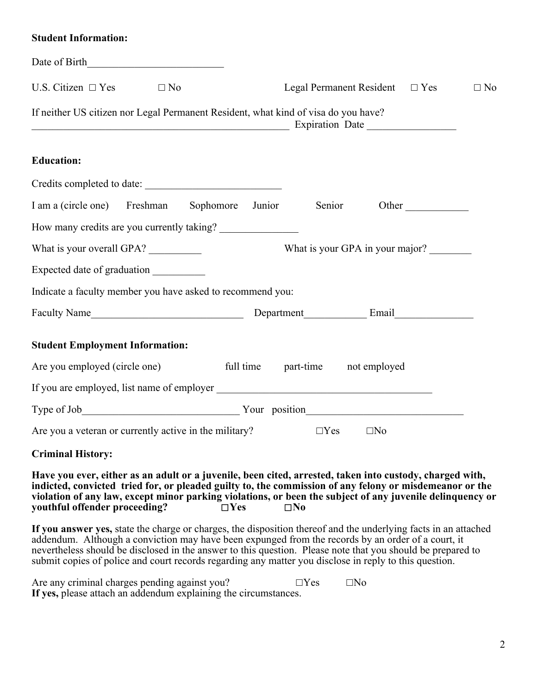| <b>Student Information:</b> |  |
|-----------------------------|--|
|-----------------------------|--|

| Date of Birth                                              |                                                                                                          |
|------------------------------------------------------------|----------------------------------------------------------------------------------------------------------|
| U.S. Citizen $\square$ Yes<br>$\Box$ No                    | Legal Permanent Resident $\square$ Yes<br>$\Box$ No                                                      |
|                                                            | If neither US citizen nor Legal Permanent Resident, what kind of visa do you have?                       |
| <b>Education:</b>                                          |                                                                                                          |
| Credits completed to date:                                 |                                                                                                          |
|                                                            | I am a (circle one) Freshman Sophomore Junior Senior Other                                               |
| How many credits are you currently taking?                 |                                                                                                          |
| What is your overall GPA?                                  | What is your GPA in your major?                                                                          |
|                                                            |                                                                                                          |
| Indicate a faculty member you have asked to recommend you: |                                                                                                          |
|                                                            |                                                                                                          |
| <b>Student Employment Information:</b>                     |                                                                                                          |
| Are you employed (circle one)                              | full time part-time not employed                                                                         |
|                                                            |                                                                                                          |
|                                                            |                                                                                                          |
| Are you a veteran or currently active in the military?     | $\Box$ Yes<br>$\square$ No                                                                               |
| <b>Criminal History:</b>                                   |                                                                                                          |
|                                                            | Have you ever, either as an adult or a juvenile, been cited, arrested, taken into custody, charged with, |

**indicted, convicted tried for, or pleaded guilty to, the commission of any felony or misdemeanor or the**  violation of any law, except minor parking violations, or been the subject of any juvenile delinquency or youthful offender proceeding?<br>  $\square$  Yes  $\square$  No  $y$ outhful offender proceeding?

**If you answer yes,** state the charge or charges, the disposition thereof and the underlying facts in an attached addendum. Although a conviction may have been expunged from the records by an order of a court, it nevertheless should be disclosed in the answer to this question. Please note that you should be prepared to submit copies of police and court records regarding any matter you disclose in reply to this question.

| Are any criminal charges pending against you?                   | $\Box$ Yes | $\square$ No |
|-----------------------------------------------------------------|------------|--------------|
| If yes, please attach an addendum explaining the circumstances. |            |              |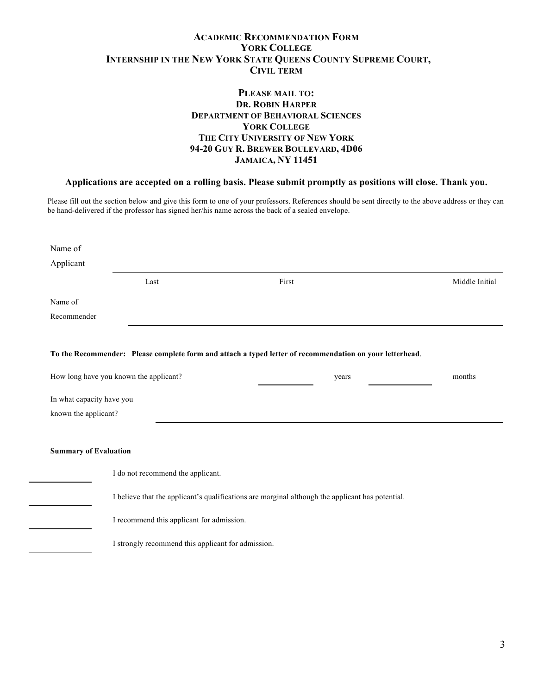## **ACADEMIC RECOMMENDATION FORM YORK COLLEGE INTERNSHIP IN THE NEW YORK STATE QUEENS COUNTY SUPREME COURT, CIVIL TERM**

## **PLEASE MAIL TO: DR. ROBIN HARPER DEPARTMENT OF BEHAVIORAL SCIENCES YORK COLLEGE THE CITY UNIVERSITY OF NEW YORK 94-20 GUY R. BREWER BOULEVARD, 4D06 JAMAICA, NY 11451**

## **Applications are accepted on a rolling basis. Please submit promptly as positions will close. Thank you.**

Please fill out the section below and give this form to one of your professors. References should be sent directly to the above address or they can be hand-delivered if the professor has signed her/his name across the back of a sealed envelope.

| Name of                                                                                          |                                                    |                                                                                                          |                |  |  |  |
|--------------------------------------------------------------------------------------------------|----------------------------------------------------|----------------------------------------------------------------------------------------------------------|----------------|--|--|--|
| Applicant                                                                                        |                                                    |                                                                                                          |                |  |  |  |
|                                                                                                  | Last                                               | First                                                                                                    | Middle Initial |  |  |  |
| Name of                                                                                          |                                                    |                                                                                                          |                |  |  |  |
| Recommender                                                                                      |                                                    |                                                                                                          |                |  |  |  |
|                                                                                                  |                                                    |                                                                                                          |                |  |  |  |
|                                                                                                  |                                                    | To the Recommender: Please complete form and attach a typed letter of recommendation on your letterhead. |                |  |  |  |
|                                                                                                  |                                                    |                                                                                                          | months         |  |  |  |
| How long have you known the applicant?<br>years                                                  |                                                    |                                                                                                          |                |  |  |  |
|                                                                                                  | In what capacity have you                          |                                                                                                          |                |  |  |  |
| known the applicant?                                                                             |                                                    |                                                                                                          |                |  |  |  |
|                                                                                                  |                                                    |                                                                                                          |                |  |  |  |
| <b>Summary of Evaluation</b>                                                                     |                                                    |                                                                                                          |                |  |  |  |
|                                                                                                  |                                                    |                                                                                                          |                |  |  |  |
|                                                                                                  |                                                    |                                                                                                          |                |  |  |  |
| I believe that the applicant's qualifications are marginal although the applicant has potential. |                                                    |                                                                                                          |                |  |  |  |
| I recommend this applicant for admission.                                                        |                                                    |                                                                                                          |                |  |  |  |
|                                                                                                  | I strongly recommend this applicant for admission. |                                                                                                          |                |  |  |  |
|                                                                                                  |                                                    |                                                                                                          |                |  |  |  |
|                                                                                                  | I do not recommend the applicant.                  |                                                                                                          |                |  |  |  |